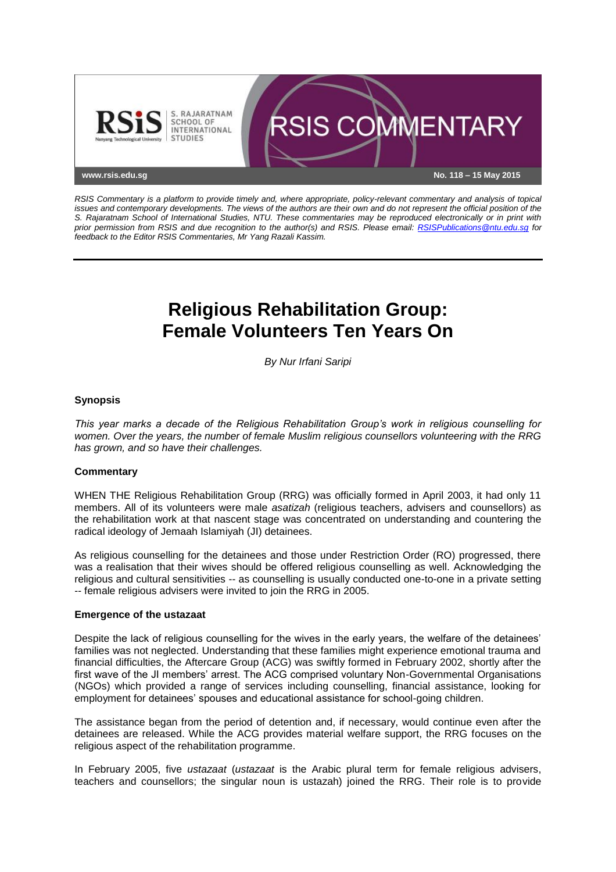

*RSIS Commentary is a platform to provide timely and, where appropriate, policy-relevant commentary and analysis of topical issues and contemporary developments. The views of the authors are their own and do not represent the official position of the S. Rajaratnam School of International Studies, NTU. These commentaries may be reproduced electronically or in print with prior permission from RSIS and due recognition to the author(s) and RSIS. Please email: [RSISPublications@ntu.edu.sg](mailto:RSISPublications@ntu.edu.sg) for feedback to the Editor RSIS Commentaries, Mr Yang Razali Kassim.*

# **Religious Rehabilitation Group: Female Volunteers Ten Years On**

*By Nur Irfani Saripi*

## **Synopsis**

*This year marks a decade of the Religious Rehabilitation Group's work in religious counselling for women. Over the years, the number of female Muslim religious counsellors volunteering with the RRG has grown, and so have their challenges.*

## **Commentary**

WHEN THE Religious Rehabilitation Group (RRG) was officially formed in April 2003, it had only 11 members. All of its volunteers were male *asatizah* (religious teachers, advisers and counsellors) as the rehabilitation work at that nascent stage was concentrated on understanding and countering the radical ideology of Jemaah Islamiyah (JI) detainees.

As religious counselling for the detainees and those under Restriction Order (RO) progressed, there was a realisation that their wives should be offered religious counselling as well. Acknowledging the religious and cultural sensitivities -- as counselling is usually conducted one-to-one in a private setting -- female religious advisers were invited to join the RRG in 2005.

#### **Emergence of the ustazaat**

Despite the lack of religious counselling for the wives in the early years, the welfare of the detainees' families was not neglected. Understanding that these families might experience emotional trauma and financial difficulties, the Aftercare Group (ACG) was swiftly formed in February 2002, shortly after the first wave of the JI members' arrest. The ACG comprised voluntary Non-Governmental Organisations (NGOs) which provided a range of services including counselling, financial assistance, looking for employment for detainees' spouses and educational assistance for school-going children.

The assistance began from the period of detention and, if necessary, would continue even after the detainees are released. While the ACG provides material welfare support, the RRG focuses on the religious aspect of the rehabilitation programme.

In February 2005, five *ustazaat* (*ustazaat* is the Arabic plural term for female religious advisers, teachers and counsellors; the singular noun is ustazah) joined the RRG. Their role is to provide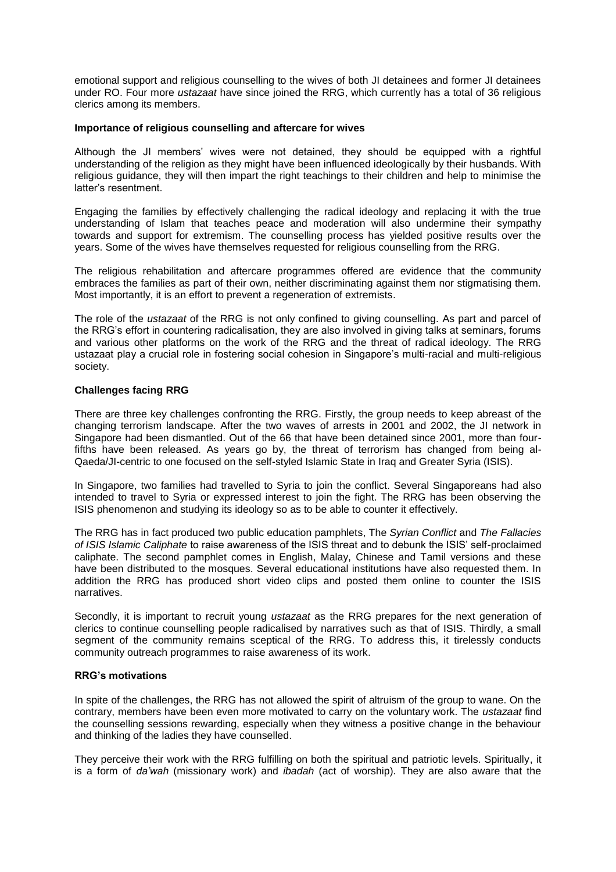emotional support and religious counselling to the wives of both JI detainees and former JI detainees under RO. Four more *ustazaat* have since joined the RRG, which currently has a total of 36 religious clerics among its members.

## **Importance of religious counselling and aftercare for wives**

Although the JI members' wives were not detained, they should be equipped with a rightful understanding of the religion as they might have been influenced ideologically by their husbands. With religious guidance, they will then impart the right teachings to their children and help to minimise the latter's resentment.

Engaging the families by effectively challenging the radical ideology and replacing it with the true understanding of Islam that teaches peace and moderation will also undermine their sympathy towards and support for extremism. The counselling process has yielded positive results over the years. Some of the wives have themselves requested for religious counselling from the RRG.

The religious rehabilitation and aftercare programmes offered are evidence that the community embraces the families as part of their own, neither discriminating against them nor stigmatising them. Most importantly, it is an effort to prevent a regeneration of extremists.

The role of the *ustazaat* of the RRG is not only confined to giving counselling. As part and parcel of the RRG's effort in countering radicalisation, they are also involved in giving talks at seminars, forums and various other platforms on the work of the RRG and the threat of radical ideology. The RRG ustazaat play a crucial role in fostering social cohesion in Singapore's multi-racial and multi-religious society.

## **Challenges facing RRG**

There are three key challenges confronting the RRG. Firstly, the group needs to keep abreast of the changing terrorism landscape. After the two waves of arrests in 2001 and 2002, the JI network in Singapore had been dismantled. Out of the 66 that have been detained since 2001, more than fourfifths have been released. As years go by, the threat of terrorism has changed from being al-Qaeda/JI-centric to one focused on the self-styled Islamic State in Iraq and Greater Syria (ISIS).

In Singapore, two families had travelled to Syria to join the conflict. Several Singaporeans had also intended to travel to Syria or expressed interest to join the fight. The RRG has been observing the ISIS phenomenon and studying its ideology so as to be able to counter it effectively.

The RRG has in fact produced two public education pamphlets, The *Syrian Conflict* and *The Fallacies of ISIS Islamic Caliphate* to raise awareness of the ISIS threat and to debunk the ISIS' self-proclaimed caliphate. The second pamphlet comes in English, Malay, Chinese and Tamil versions and these have been distributed to the mosques. Several educational institutions have also requested them. In addition the RRG has produced short video clips and posted them online to counter the ISIS narratives.

Secondly, it is important to recruit young *ustazaat* as the RRG prepares for the next generation of clerics to continue counselling people radicalised by narratives such as that of ISIS. Thirdly, a small segment of the community remains sceptical of the RRG. To address this, it tirelessly conducts community outreach programmes to raise awareness of its work.

## **RRG's motivations**

In spite of the challenges, the RRG has not allowed the spirit of altruism of the group to wane. On the contrary, members have been even more motivated to carry on the voluntary work. The *ustazaat* find the counselling sessions rewarding, especially when they witness a positive change in the behaviour and thinking of the ladies they have counselled.

They perceive their work with the RRG fulfilling on both the spiritual and patriotic levels. Spiritually, it is a form of *da'wah* (missionary work) and *ibadah* (act of worship). They are also aware that the